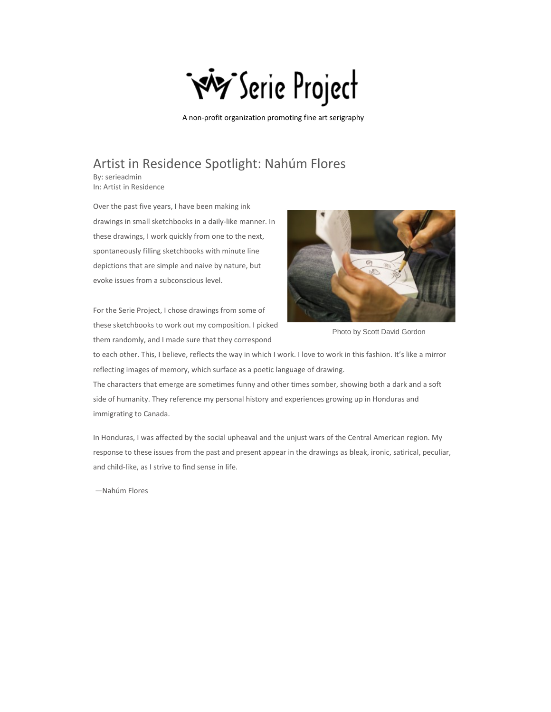

A non-profit organization promoting fine art serigraphy

## Artist in Residence Spotlight: Nahúm Flores

By: serieadmin In: Artist in Residence

Over the past five years, I have been making ink drawings in small sketchbooks in a daily-like manner. In these drawings, I work quickly from one to the next, spontaneously filling sketchbooks with minute line depictions that are simple and naive by nature, but evoke issues from a subconscious level.

For the Serie Project, I chose drawings from some of these sketchbooks to work out my composition. I picked them randomly, and I made sure that they correspond



Photo by Scott David Gordon

to each other. This, I believe, reflects the way in which I work. I love to work in this fashion. It's like a mirror reflecting images of memory, which surface as a poetic language of drawing. The characters that emerge are sometimes funny and other times somber, showing both a dark and a soft side of humanity. They reference my personal history and experiences growing up in Honduras and immigrating to Canada.

In Honduras, I was affected by the social upheaval and the unjust wars of the Central American region. My response to these issues from the past and present appear in the drawings as bleak, ironic, satirical, peculiar, and child-like, as I strive to find sense in life.

—Nahúm Flores